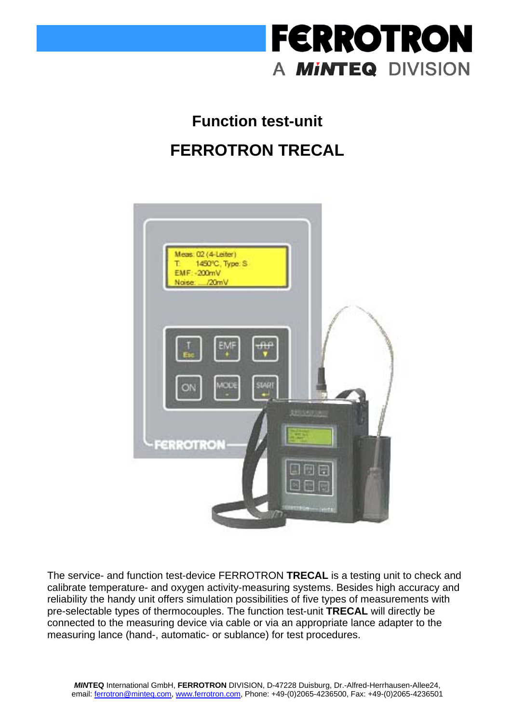

## **Function test-unit FERROTRON TRECAL**



The service- and function test-device FERROTRON **TRECAL** is a testing unit to check and calibrate temperature- and oxygen activity-measuring systems. Besides high accuracy and reliability the handy unit offers simulation possibilities of five types of measurements with pre-selectable types of thermocouples. The function test-unit **TRECAL** will directly be connected to the measuring device via cable or via an appropriate lance adapter to the measuring lance (hand-, automatic- or sublance) for test procedures.